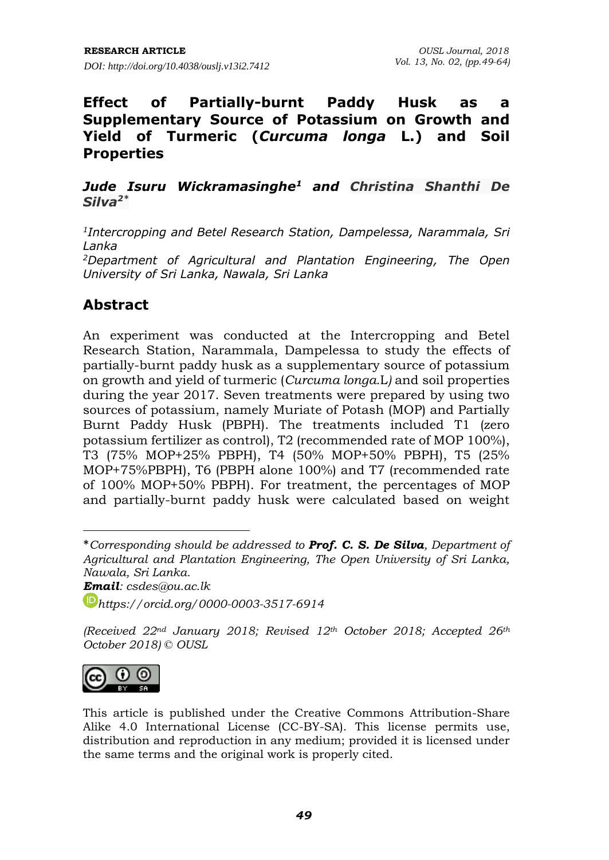## **Effect of Partially-burnt Paddy Husk as a Supplementary Source of Potassium on Growth and Yield of Turmeric (***Curcuma longa* **L.) and Soil Properties**

### *Jude Isuru Wickramasinghe<sup>1</sup> and Christina Shanthi De Silva2\**

*1 Intercropping and Betel Research Station, Dampelessa, Narammala, Sri Lanka <sup>2</sup>Department of Agricultural and Plantation Engineering, The Open University of Sri Lanka, Nawala, Sri Lanka*

# **Abstract**

An experiment was conducted at the Intercropping and Betel Research Station, Narammala, Dampelessa to study the effects of partially-burnt paddy husk as a supplementary source of potassium on growth and yield of turmeric (*Curcuma longa.*L*)* and soil properties during the year 2017. Seven treatments were prepared by using two sources of potassium, namely Muriate of Potash (MOP) and Partially Burnt Paddy Husk (PBPH). The treatments included T1 (zero potassium fertilizer as control), T2 (recommended rate of MOP 100%), T3 (75% MOP+25% PBPH), T4 (50% MOP+50% PBPH), T5 (25% MOP+75%PBPH), T6 (PBPH alone 100%) and T7 (recommended rate of 100% MOP+50% PBPH). For treatment, the percentages of MOP and partially-burnt paddy husk were calculated based on weight

*Email: csdes@ou.ac.lk*

*[https://orcid.org/0](https://orcid.org/)000-0003-3517-6914*

*(Received 22nd January 2018; Revised 12th October 2018; Accepted 26th October 2018) © OUSL*



 $\overline{a}$ 

<sup>\*</sup>*Corresponding should be addressed to Prof. C. S. De Silva, Department of Agricultural and Plantation Engineering, The Open University of Sri Lanka, Nawala, Sri Lanka.* 

This article is published under the Creative Commons Attribution-Share Alike 4.0 International License (CC-BY-SA). This license permits use, distribution and reproduction in any medium; provided it is licensed under the same terms and the original work is properly cited.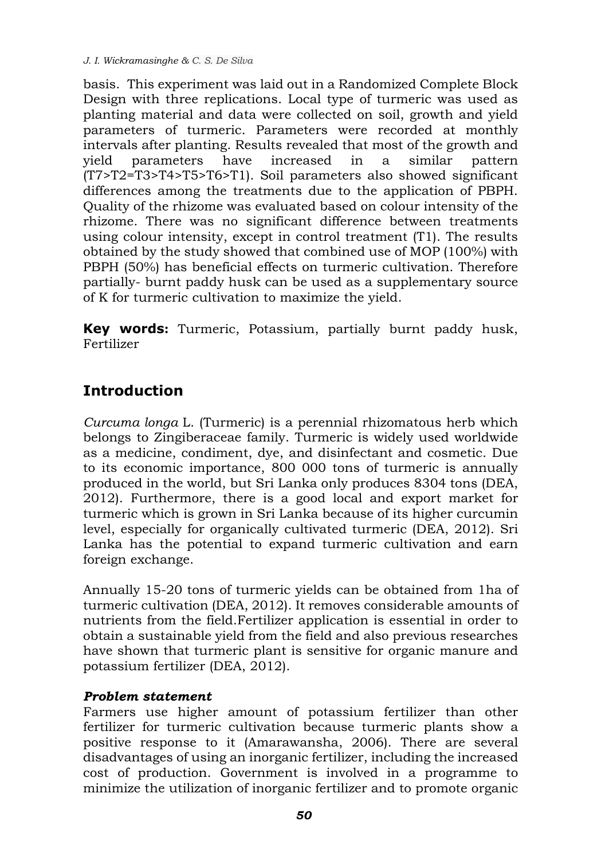*J. I. Wickramasinghe & C. S. De Silva*

basis. This experiment was laid out in a Randomized Complete Block Design with three replications. Local type of turmeric was used as planting material and data were collected on soil, growth and yield parameters of turmeric. Parameters were recorded at monthly intervals after planting. Results revealed that most of the growth and yield parameters have increased in a similar pattern (T7>T2=T3>T4>T5>T6>T1). Soil parameters also showed significant differences among the treatments due to the application of PBPH. Quality of the rhizome was evaluated based on colour intensity of the rhizome. There was no significant difference between treatments using colour intensity, except in control treatment (T1). The results obtained by the study showed that combined use of MOP (100%) with PBPH (50%) has beneficial effects on turmeric cultivation. Therefore partially- burnt paddy husk can be used as a supplementary source of K for turmeric cultivation to maximize the yield.

**Key words:** Turmeric, Potassium, partially burnt paddy husk, Fertilizer

# **Introduction**

*Curcuma longa* L. (Turmeric) is a perennial rhizomatous herb which belongs to Zingiberaceae family. Turmeric is widely used worldwide as a medicine, condiment, dye, and disinfectant and cosmetic. Due to its economic importance, 800 000 tons of turmeric is annually produced in the world, but Sri Lanka only produces 8304 tons (DEA, 2012). Furthermore, there is a good local and export market for turmeric which is grown in Sri Lanka because of its higher curcumin level, especially for organically cultivated turmeric (DEA, 2012). Sri Lanka has the potential to expand turmeric cultivation and earn foreign exchange.

Annually 15-20 tons of turmeric yields can be obtained from 1ha of turmeric cultivation (DEA, 2012). It removes considerable amounts of nutrients from the field.Fertilizer application is essential in order to obtain a sustainable yield from the field and also previous researches have shown that turmeric plant is sensitive for organic manure and potassium fertilizer (DEA, 2012).

## *Problem statement*

Farmers use higher amount of potassium fertilizer than other fertilizer for turmeric cultivation because turmeric plants show a positive response to it (Amarawansha, 2006). There are several disadvantages of using an inorganic fertilizer, including the increased cost of production. Government is involved in a programme to minimize the utilization of inorganic fertilizer and to promote organic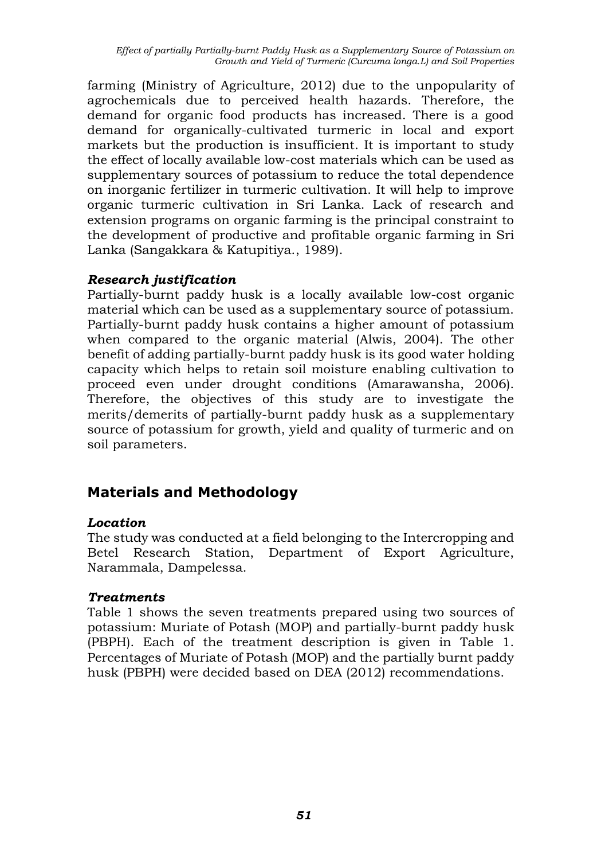*Effect of partially Partially-burnt Paddy Husk as a Supplementary Source of Potassium on Growth and Yield of Turmeric (Curcuma longa.L) and Soil Properties*

farming (Ministry of Agriculture, 2012) due to the unpopularity of agrochemicals due to perceived health hazards. Therefore, the demand for organic food products has increased. There is a good demand for organically-cultivated turmeric in local and export markets but the production is insufficient. It is important to study the effect of locally available low-cost materials which can be used as supplementary sources of potassium to reduce the total dependence on inorganic fertilizer in turmeric cultivation. It will help to improve organic turmeric cultivation in Sri Lanka. Lack of research and extension programs on organic farming is the principal constraint to the development of productive and profitable organic farming in Sri Lanka (Sangakkara & Katupitiya., 1989).

### *Research justification*

Partially-burnt paddy husk is a locally available low-cost organic material which can be used as a supplementary source of potassium. Partially-burnt paddy husk contains a higher amount of potassium when compared to the organic material (Alwis, 2004). The other benefit of adding partially-burnt paddy husk is its good water holding capacity which helps to retain soil moisture enabling cultivation to proceed even under drought conditions (Amarawansha, 2006). Therefore, the objectives of this study are to investigate the merits/demerits of partially-burnt paddy husk as a supplementary source of potassium for growth, yield and quality of turmeric and on soil parameters.

## **Materials and Methodology**

### *Location*

The study was conducted at a field belonging to the Intercropping and Betel Research Station, Department of Export Agriculture, Narammala, Dampelessa.

### *Treatments*

Table 1 shows the seven treatments prepared using two sources of potassium: Muriate of Potash (MOP) and partially-burnt paddy husk (PBPH). Each of the treatment description is given in Table 1. Percentages of Muriate of Potash (MOP) and the partially burnt paddy husk (PBPH) were decided based on DEA (2012) recommendations.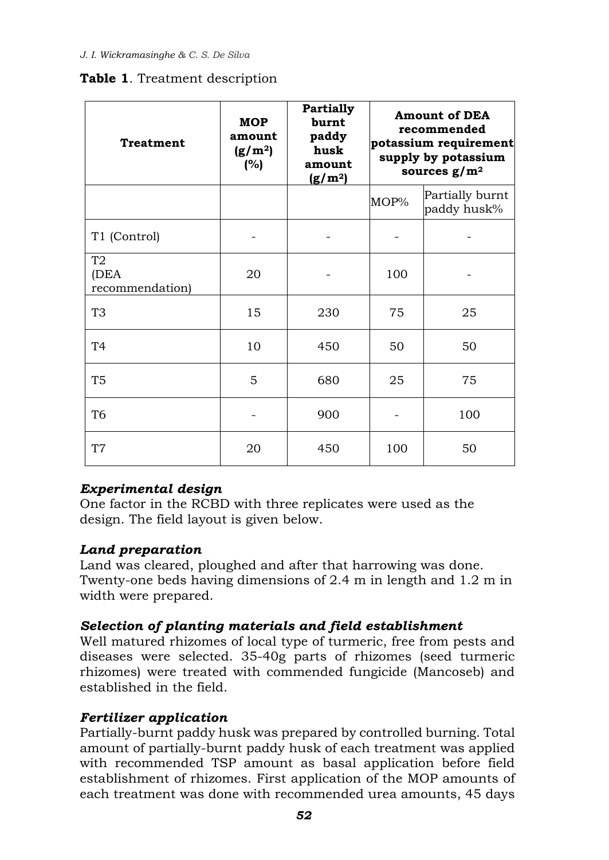## **Table 1**. Treatment description

| <b>Treatment</b>                          | <b>MOP</b><br>amount<br>(g/m <sup>2</sup> )<br>(%) | <b>Partially</b><br>burnt<br>paddy<br>husk<br>amount<br>(g/m <sup>2</sup> ) | <b>Amount of DEA</b><br>recommended<br>potassium requirement<br>supply by potassium<br>sources $g/m^2$ |                                |  |
|-------------------------------------------|----------------------------------------------------|-----------------------------------------------------------------------------|--------------------------------------------------------------------------------------------------------|--------------------------------|--|
|                                           |                                                    |                                                                             | MOP%                                                                                                   | Partially burnt<br>paddy husk% |  |
| T1 (Control)                              |                                                    |                                                                             |                                                                                                        |                                |  |
| T <sub>2</sub><br>(DEA<br>recommendation) | 20                                                 |                                                                             | 100                                                                                                    |                                |  |
| T <sub>3</sub>                            | 15                                                 | 230                                                                         | 75                                                                                                     | 25                             |  |
| T4                                        | 10                                                 | 450                                                                         | 50                                                                                                     | 50                             |  |
| T <sub>5</sub>                            | 5                                                  | 680                                                                         | 25                                                                                                     | 75                             |  |
| T <sub>6</sub>                            |                                                    | 900                                                                         |                                                                                                        | 100                            |  |
| T <sub>7</sub>                            | 20                                                 | 450                                                                         | 100                                                                                                    | 50                             |  |

## *Experimental design*

One factor in the RCBD with three replicates were used as the design. The field layout is given below.

## *Land preparation*

Land was cleared, ploughed and after that harrowing was done. Twenty-one beds having dimensions of 2.4 m in length and 1.2 m in width were prepared.

## *Selection of planting materials and field establishment*

Well matured rhizomes of local type of turmeric, free from pests and diseases were selected. 35-40g parts of rhizomes (seed turmeric rhizomes) were treated with commended fungicide (Mancoseb) and established in the field.

## *Fertilizer application*

Partially-burnt paddy husk was prepared by controlled burning. Total amount of partially-burnt paddy husk of each treatment was applied with recommended TSP amount as basal application before field establishment of rhizomes. First application of the MOP amounts of each treatment was done with recommended urea amounts, 45 days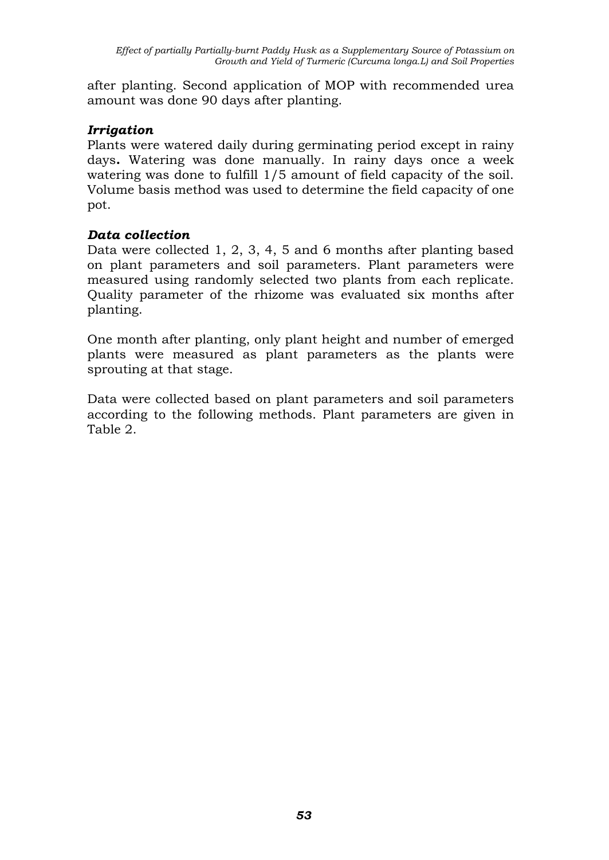after planting. Second application of MOP with recommended urea amount was done 90 days after planting.

### *Irrigation*

Plants were watered daily during germinating period except in rainy days**.** Watering was done manually. In rainy days once a week watering was done to fulfill 1/5 amount of field capacity of the soil. Volume basis method was used to determine the field capacity of one pot.

### *Data collection*

Data were collected 1, 2, 3, 4, 5 and 6 months after planting based on plant parameters and soil parameters. Plant parameters were measured using randomly selected two plants from each replicate. Quality parameter of the rhizome was evaluated six months after planting.

One month after planting, only plant height and number of emerged plants were measured as plant parameters as the plants were sprouting at that stage.

Data were collected based on plant parameters and soil parameters according to the following methods. Plant parameters are given in Table 2.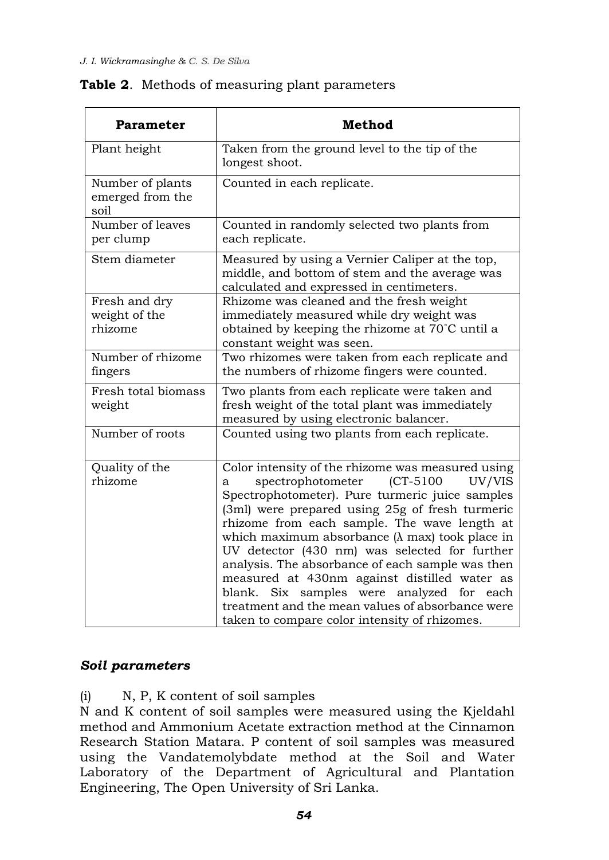### **Table 2**. Methods of measuring plant parameters

| <b>Parameter</b>                             | <b>Method</b>                                                                                                                                                                                                                                                                                                                                                                                                                                                                                                                                                                                                                    |  |  |  |  |  |
|----------------------------------------------|----------------------------------------------------------------------------------------------------------------------------------------------------------------------------------------------------------------------------------------------------------------------------------------------------------------------------------------------------------------------------------------------------------------------------------------------------------------------------------------------------------------------------------------------------------------------------------------------------------------------------------|--|--|--|--|--|
| Plant height                                 | Taken from the ground level to the tip of the<br>longest shoot.                                                                                                                                                                                                                                                                                                                                                                                                                                                                                                                                                                  |  |  |  |  |  |
| Number of plants<br>emerged from the<br>soil | Counted in each replicate.                                                                                                                                                                                                                                                                                                                                                                                                                                                                                                                                                                                                       |  |  |  |  |  |
| Number of leaves<br>per clump                | Counted in randomly selected two plants from<br>each replicate.                                                                                                                                                                                                                                                                                                                                                                                                                                                                                                                                                                  |  |  |  |  |  |
| Stem diameter                                | Measured by using a Vernier Caliper at the top,<br>middle, and bottom of stem and the average was<br>calculated and expressed in centimeters.                                                                                                                                                                                                                                                                                                                                                                                                                                                                                    |  |  |  |  |  |
| Fresh and dry<br>weight of the<br>rhizome    | Rhizome was cleaned and the fresh weight<br>immediately measured while dry weight was<br>obtained by keeping the rhizome at 70°C until a<br>constant weight was seen.                                                                                                                                                                                                                                                                                                                                                                                                                                                            |  |  |  |  |  |
| Number of rhizome<br>fingers                 | Two rhizomes were taken from each replicate and<br>the numbers of rhizome fingers were counted.                                                                                                                                                                                                                                                                                                                                                                                                                                                                                                                                  |  |  |  |  |  |
| Fresh total biomass<br>weight                | Two plants from each replicate were taken and<br>fresh weight of the total plant was immediately<br>measured by using electronic balancer.                                                                                                                                                                                                                                                                                                                                                                                                                                                                                       |  |  |  |  |  |
| Number of roots                              | Counted using two plants from each replicate.                                                                                                                                                                                                                                                                                                                                                                                                                                                                                                                                                                                    |  |  |  |  |  |
| Quality of the<br>rhizome                    | Color intensity of the rhizome was measured using<br>spectrophotometer<br>$(CT-5100$<br>UV/VIS<br>a<br>Spectrophotometer). Pure turmeric juice samples<br>(3ml) were prepared using 25g of fresh turmeric<br>rhizome from each sample. The wave length at<br>which maximum absorbance $(\lambda$ max) took place in<br>UV detector (430 nm) was selected for further<br>analysis. The absorbance of each sample was then<br>measured at 430nm against distilled water as<br>Six samples were analyzed for<br>blank.<br>each<br>treatment and the mean values of absorbance were<br>taken to compare color intensity of rhizomes. |  |  |  |  |  |

### *Soil parameters*

(i) N, P, K content of soil samples

N and K content of soil samples were measured using the Kjeldahl method and Ammonium Acetate extraction method at the Cinnamon Research Station Matara. P content of soil samples was measured using the Vandatemolybdate method at the Soil and Water Laboratory of the Department of Agricultural and Plantation Engineering, The Open University of Sri Lanka.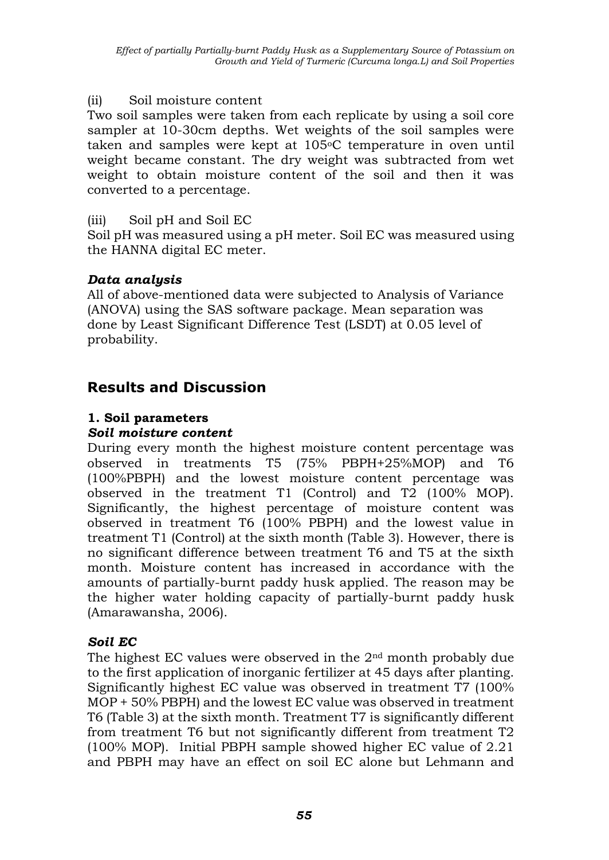### (ii) Soil moisture content

Two soil samples were taken from each replicate by using a soil core sampler at 10-30cm depths. Wet weights of the soil samples were taken and samples were kept at 105°C temperature in oven until weight became constant. The dry weight was subtracted from wet weight to obtain moisture content of the soil and then it was converted to a percentage.

### (iii) Soil pH and Soil EC

Soil pH was measured using a pH meter. Soil EC was measured using the HANNA digital EC meter.

### *Data analysis*

All of above-mentioned data were subjected to Analysis of Variance (ANOVA) using the SAS software package. Mean separation was done by Least Significant Difference Test (LSDT) at 0.05 level of probability.

# **Results and Discussion**

### **1. Soil parameters**

### *Soil moisture content*

During every month the highest moisture content percentage was observed in treatments T5 (75% PBPH+25%MOP) and T6 (100%PBPH) and the lowest moisture content percentage was observed in the treatment T1 (Control) and T2 (100% MOP). Significantly, the highest percentage of moisture content was observed in treatment T6 (100% PBPH) and the lowest value in treatment T1 (Control) at the sixth month (Table 3). However, there is no significant difference between treatment T6 and T5 at the sixth month. Moisture content has increased in accordance with the amounts of partially-burnt paddy husk applied. The reason may be the higher water holding capacity of partially-burnt paddy husk (Amarawansha, 2006).

## *Soil EC*

The highest EC values were observed in the  $2<sup>nd</sup>$  month probably due to the first application of inorganic fertilizer at 45 days after planting. Significantly highest EC value was observed in treatment T7 (100% MOP + 50% PBPH) and the lowest EC value was observed in treatment T6 (Table 3) at the sixth month. Treatment T7 is significantly different from treatment T6 but not significantly different from treatment T2 (100% MOP). Initial PBPH sample showed higher EC value of 2.21 and PBPH may have an effect on soil EC alone but Lehmann and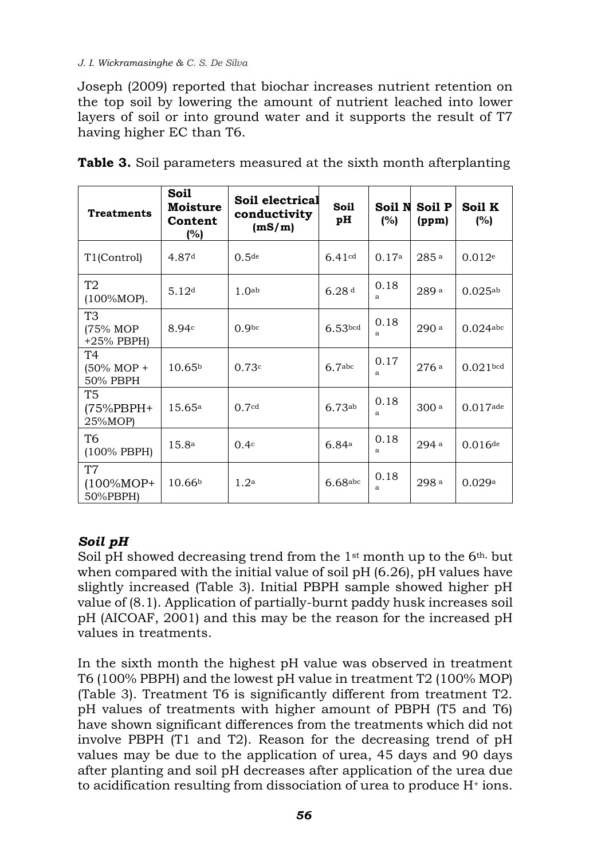#### *J. I. Wickramasinghe & C. S. De Silva*

Joseph (2009) reported that biochar increases nutrient retention on the top soil by lowering the amount of nutrient leached into lower layers of soil or into ground water and it supports the result of T7 having higher EC than T6.

| <b>Treatments</b>                            | Soil<br><b>Moisture</b><br>Content<br>(%) | Soil electrical<br>conductivity<br>(mS/m) | Soil<br>pН          | Soil N<br>(%) | Soil P<br>(ppm)  | Soil K<br>(%)         |
|----------------------------------------------|-------------------------------------------|-------------------------------------------|---------------------|---------------|------------------|-----------------------|
| T1(Control)                                  | 4.87 <sup>d</sup>                         | 0.5 <sup>de</sup>                         | 6.41cd              | 0.17a         | 285a             | 0.012e                |
| T2<br>$(100\% \text{MOP})$ .                 | 5.12 <sup>d</sup>                         | 1.0 <sub>ab</sub>                         | 6.28 <sup>d</sup>   | 0.18<br>a     | 289 a            | 0.025a <sub>b</sub>   |
| T <sub>3</sub><br>(75% MOP<br>$+25%$ PBPH)   | 8.94c                                     | 0.9 <sub>bc</sub>                         | 6.53 <sub>bcd</sub> | 0.18<br>a     | 290 <sup>a</sup> | $0.024$ abc           |
| Τ4<br>$(50\% \text{ MOP} +$<br>50% PBPH      | 10.65 <sup>b</sup>                        | 0.73c                                     | 6.7 <sub>abc</sub>  | 0.17<br>a     | 276a             | 0.021 <sub>bcd</sub>  |
| T5<br>(75%PBPH+<br>25%MOP)                   | 15.65a                                    | 0.7 <sup>cd</sup>                         | 6.73ab              | 0.18<br>a     | 300 <sub>a</sub> | $0.017$ ade           |
| T6<br>$(100\%$ PBPH)                         | 15.8 <sup>a</sup>                         | 0.4 <sup>c</sup>                          | 6.84a               | 0.18<br>a     | 294 <sup>a</sup> | $0.016$ <sup>de</sup> |
| T <sub>7</sub><br>$(100\% MOP^+$<br>50%PBPH) | 10.66 <sup>b</sup>                        | 1.2 <sup>a</sup>                          | $6.68$ abc          | 0.18<br>a     | 298a             | 0.029a                |

|  | Table 3. Soil parameters measured at the sixth month afterplanting |  |  |  |
|--|--------------------------------------------------------------------|--|--|--|
|  |                                                                    |  |  |  |

## *Soil pH*

Soil pH showed decreasing trend from the  $1<sup>st</sup>$  month up to the 6<sup>th, but</sup> when compared with the initial value of soil pH (6.26), pH values have slightly increased (Table 3). Initial PBPH sample showed higher pH value of (8.1). Application of partially-burnt paddy husk increases soil pH (AICOAF, 2001) and this may be the reason for the increased pH values in treatments.

In the sixth month the highest pH value was observed in treatment T6 (100% PBPH) and the lowest pH value in treatment T2 (100% MOP) (Table 3). Treatment T6 is significantly different from treatment T2. pH values of treatments with higher amount of PBPH (T5 and T6) have shown significant differences from the treatments which did not involve PBPH (T1 and T2). Reason for the decreasing trend of pH values may be due to the application of urea, 45 days and 90 days after planting and soil pH decreases after application of the urea due to acidification resulting from dissociation of urea to produce H<sup>+</sup> ions.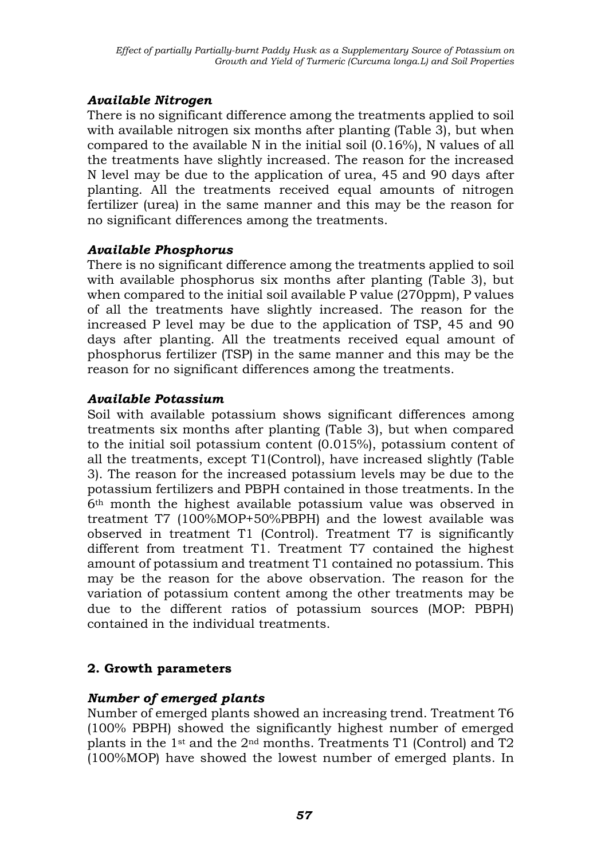### *Available Nitrogen*

There is no significant difference among the treatments applied to soil with available nitrogen six months after planting (Table 3), but when compared to the available N in the initial soil (0.16%), N values of all the treatments have slightly increased. The reason for the increased N level may be due to the application of urea, 45 and 90 days after planting. All the treatments received equal amounts of nitrogen fertilizer (urea) in the same manner and this may be the reason for no significant differences among the treatments.

### *Available Phosphorus*

There is no significant difference among the treatments applied to soil with available phosphorus six months after planting (Table 3), but when compared to the initial soil available P value (270ppm), P values of all the treatments have slightly increased. The reason for the increased P level may be due to the application of TSP, 45 and 90 days after planting. All the treatments received equal amount of phosphorus fertilizer (TSP) in the same manner and this may be the reason for no significant differences among the treatments.

### *Available Potassium*

Soil with available potassium shows significant differences among treatments six months after planting (Table 3), but when compared to the initial soil potassium content (0.015%), potassium content of all the treatments, except T1(Control), have increased slightly (Table 3). The reason for the increased potassium levels may be due to the potassium fertilizers and PBPH contained in those treatments. In the 6th month the highest available potassium value was observed in treatment T7 (100%MOP+50%PBPH) and the lowest available was observed in treatment T1 (Control). Treatment T7 is significantly different from treatment T1. Treatment T7 contained the highest amount of potassium and treatment T1 contained no potassium. This may be the reason for the above observation. The reason for the variation of potassium content among the other treatments may be due to the different ratios of potassium sources (MOP: PBPH) contained in the individual treatments.

## **2. Growth parameters**

## *Number of emerged plants*

Number of emerged plants showed an increasing trend. Treatment T6 (100% PBPH) showed the significantly highest number of emerged plants in the  $1<sup>st</sup>$  and the  $2<sup>nd</sup>$  months. Treatments T1 (Control) and T2 (100%MOP) have showed the lowest number of emerged plants. In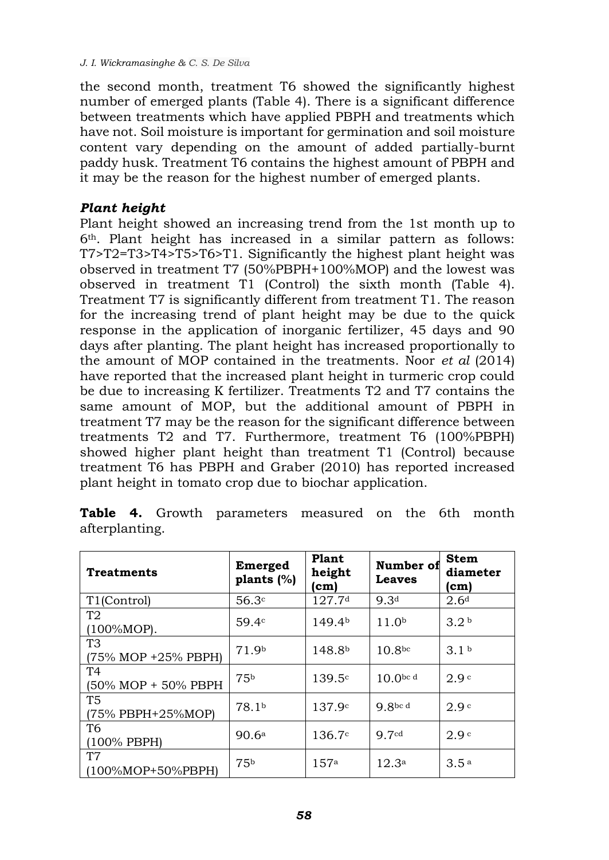the second month, treatment T6 showed the significantly highest number of emerged plants (Table 4). There is a significant difference between treatments which have applied PBPH and treatments which have not. Soil moisture is important for germination and soil moisture content vary depending on the amount of added partially-burnt paddy husk. Treatment T6 contains the highest amount of PBPH and it may be the reason for the highest number of emerged plants.

### *Plant height*

Plant height showed an increasing trend from the 1st month up to 6th. Plant height has increased in a similar pattern as follows: T7>T2=T3>T4>T5>T6>T1. Significantly the highest plant height was observed in treatment T7 (50%PBPH+100%MOP) and the lowest was observed in treatment T1 (Control) the sixth month (Table 4). Treatment T7 is significantly different from treatment T1. The reason for the increasing trend of plant height may be due to the quick response in the application of inorganic fertilizer, 45 days and 90 days after planting. The plant height has increased proportionally to the amount of MOP contained in the treatments. Noor *et al* (2014) have reported that the increased plant height in turmeric crop could be due to increasing K fertilizer. Treatments T2 and T7 contains the same amount of MOP, but the additional amount of PBPH in treatment T7 may be the reason for the significant difference between treatments T2 and T7. Furthermore, treatment T6 (100%PBPH) showed higher plant height than treatment T1 (Control) because treatment T6 has PBPH and Graber (2010) has reported increased plant height in tomato crop due to biochar application.

| <b>Treatments</b>                     | Emerged<br>plants $(\%)$ | <b>Plant</b><br>height<br>(cm) | Number of<br><b>Leaves</b> | <b>Stem</b><br>diameter<br>(cm) |
|---------------------------------------|--------------------------|--------------------------------|----------------------------|---------------------------------|
| T1(Control)                           | 56.3c                    | 127.7 <sup>d</sup>             | 9.3 <sup>d</sup>           | 2.6 <sup>d</sup>                |
| T2<br>$(100\%MOP)$ .                  | 59.4c                    | 149.4 <sup>b</sup>             | 11.0 <sup>b</sup>          | 3.2 <sup>b</sup>                |
| T <sub>3</sub><br>(75% MOP +25% PBPH) | 71.9b                    | 148.8 <sup>b</sup>             | 10.8 <sup>bc</sup>         | 3.1 <sup>b</sup>                |
| T4<br>(50% MOP + 50% PBPH             | 75 <sup>b</sup>          | 139.5c                         | $10.0^{bc}$ d              | 2.9c                            |
| T <sub>5</sub><br>(75% PBPH+25%MOP)   | 78.1 <sup>b</sup>        | 137.9c                         | 9.8bcd                     | 2.9c                            |
| T6<br>(100% PBPH)                     | 90.6a                    | 136.7c                         | 9.7cd                      | 2.9c                            |
| T <sub>7</sub><br>(100%MOP+50%PBPH)   | 75 <sup>b</sup>          | 157a                           | 12.3 <sup>a</sup>          | 3.5a                            |

|                |  | Table 4. Growth parameters measured on the 6th month |  |  |  |
|----------------|--|------------------------------------------------------|--|--|--|
| afterplanting. |  |                                                      |  |  |  |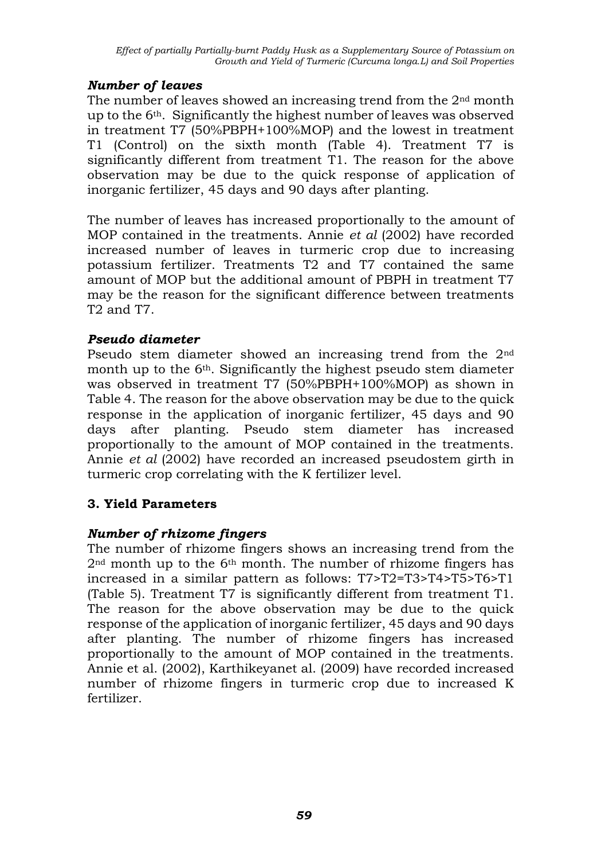### *Number of leaves*

The number of leaves showed an increasing trend from the 2nd month up to the 6th. Significantly the highest number of leaves was observed in treatment T7 (50%PBPH+100%MOP) and the lowest in treatment T1 (Control) on the sixth month (Table 4). Treatment T7 is significantly different from treatment T1. The reason for the above observation may be due to the quick response of application of inorganic fertilizer, 45 days and 90 days after planting.

The number of leaves has increased proportionally to the amount of MOP contained in the treatments. Annie *et al* (2002) have recorded increased number of leaves in turmeric crop due to increasing potassium fertilizer. Treatments T2 and T7 contained the same amount of MOP but the additional amount of PBPH in treatment T7 may be the reason for the significant difference between treatments T2 and T7.

### *Pseudo diameter*

Pseudo stem diameter showed an increasing trend from the 2nd month up to the 6<sup>th</sup>. Significantly the highest pseudo stem diameter was observed in treatment T7 (50%PBPH+100%MOP) as shown in Table 4. The reason for the above observation may be due to the quick response in the application of inorganic fertilizer, 45 days and 90 days after planting. Pseudo stem diameter has increased proportionally to the amount of MOP contained in the treatments. Annie *et al* (2002) have recorded an increased pseudostem girth in turmeric crop correlating with the K fertilizer level.

## **3. Yield Parameters**

## *Number of rhizome fingers*

The number of rhizome fingers shows an increasing trend from the 2nd month up to the 6th month. The number of rhizome fingers has increased in a similar pattern as follows: T7>T2=T3>T4>T5>T6>T1 (Table 5). Treatment T7 is significantly different from treatment T1. The reason for the above observation may be due to the quick response of the application of inorganic fertilizer, 45 days and 90 days after planting. The number of rhizome fingers has increased proportionally to the amount of MOP contained in the treatments. Annie et al. (2002), Karthikeyanet al. (2009) have recorded increased number of rhizome fingers in turmeric crop due to increased K fertilizer.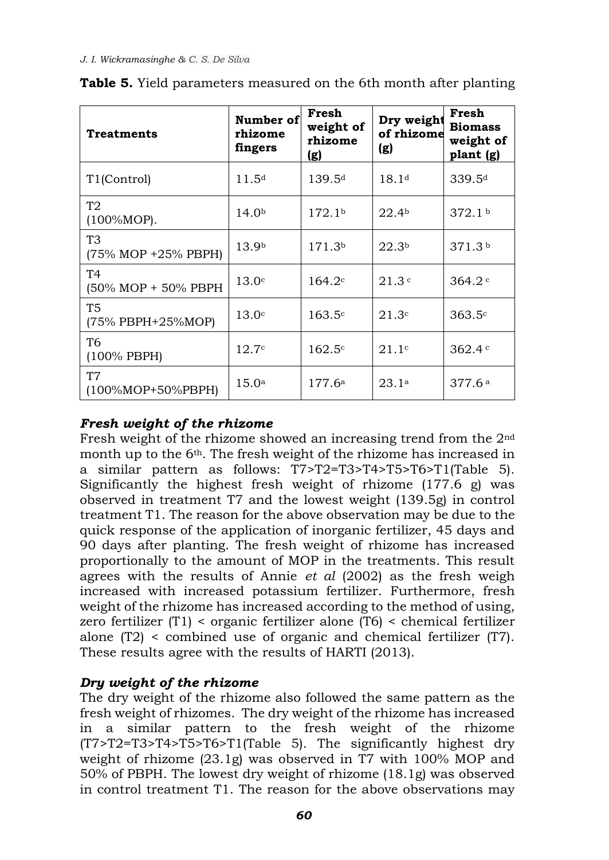| <b>Treatments</b>                     | Number of<br>rhizome<br>fingers | Fresh<br>weight of<br>rhizome<br><u>(g)</u> | Dry weight<br>of rhizome<br>(g) | Fresh<br><b>Biomass</b><br>weight of<br>plant (g) |
|---------------------------------------|---------------------------------|---------------------------------------------|---------------------------------|---------------------------------------------------|
| T1(Control)                           | 11.5 <sup>d</sup>               | 139.5 <sup>d</sup>                          | 18.1 <sup>d</sup>               | 339.5 <sup>d</sup>                                |
| T <sub>2</sub><br>$(100\%MOP)$ .      | 14.0 <sup>b</sup>               | 172.1 <sup>b</sup>                          | 22.4 <sup>b</sup>               | 372.1 <sup>b</sup>                                |
| T <sub>3</sub><br>(75% MOP +25% PBPH) | 13.9 <sup>b</sup>               | 171.3 <sup>b</sup>                          | 22.3 <sup>b</sup>               | 371.3 <sup>b</sup>                                |
| T4<br>(50% MOP + 50% PBPH             | 13.0 <sup>c</sup>               | $164.2^{\circ}$                             | 21.3c                           | 364.2                                             |
| <b>T5</b><br>(75% PBPH+25%MOP)        | 13.0 <sup>c</sup>               | 163.5c                                      | 21.3c                           | $363.5^{\circ}$                                   |
| T <sub>6</sub><br>(100% PBPH)         | 12.7c                           | $162.5^{\circ}$                             | 21.1c                           | 362.4c                                            |
| <b>T7</b><br>(100%MOP+50%PBPH)        | 15.0 <sup>a</sup>               | 177.6a                                      | 23.1a                           | 377.6a                                            |

|  |  | Table 5. Yield parameters measured on the 6th month after planting |  |  |  |  |  |  |
|--|--|--------------------------------------------------------------------|--|--|--|--|--|--|
|--|--|--------------------------------------------------------------------|--|--|--|--|--|--|

## *Fresh weight of the rhizome*

Fresh weight of the rhizome showed an increasing trend from the 2nd month up to the 6th. The fresh weight of the rhizome has increased in a similar pattern as follows: T7>T2=T3>T4>T5>T6>T1(Table 5). Significantly the highest fresh weight of rhizome (177.6 g) was observed in treatment T7 and the lowest weight (139.5g) in control treatment T1. The reason for the above observation may be due to the quick response of the application of inorganic fertilizer, 45 days and 90 days after planting. The fresh weight of rhizome has increased proportionally to the amount of MOP in the treatments. This result agrees with the results of Annie *et al* (2002) as the fresh weigh increased with increased potassium fertilizer. Furthermore, fresh weight of the rhizome has increased according to the method of using, zero fertilizer (T1) < organic fertilizer alone (T6) < chemical fertilizer alone (T2) < combined use of organic and chemical fertilizer (T7). These results agree with the results of HARTI (2013).

## *Dry weight of the rhizome*

The dry weight of the rhizome also followed the same pattern as the fresh weight of rhizomes. The dry weight of the rhizome has increased in a similar pattern to the fresh weight of the rhizome (T7>T2=T3>T4>T5>T6>T1(Table 5). The significantly highest dry weight of rhizome (23.1g) was observed in T7 with 100% MOP and 50% of PBPH. The lowest dry weight of rhizome (18.1g) was observed in control treatment T1. The reason for the above observations may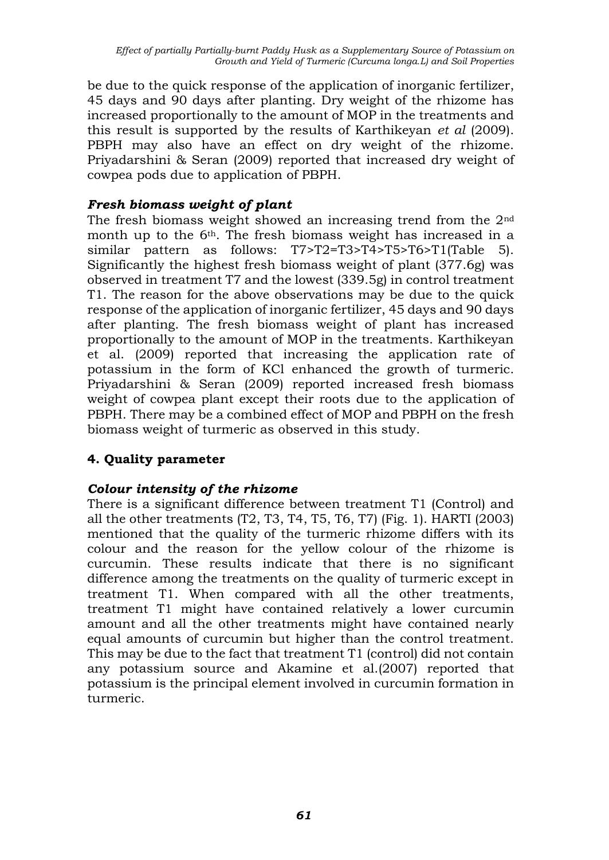be due to the quick response of the application of inorganic fertilizer, 45 days and 90 days after planting. Dry weight of the rhizome has increased proportionally to the amount of MOP in the treatments and this result is supported by the results of Karthikeyan *et al* (2009). PBPH may also have an effect on dry weight of the rhizome. Priyadarshini & Seran (2009) reported that increased dry weight of cowpea pods due to application of PBPH.

### *Fresh biomass weight of plant*

The fresh biomass weight showed an increasing trend from the 2nd month up to the 6th. The fresh biomass weight has increased in a similar pattern as follows: T7>T2=T3>T4>T5>T6>T1(Table 5). Significantly the highest fresh biomass weight of plant (377.6g) was observed in treatment T7 and the lowest (339.5g) in control treatment T1. The reason for the above observations may be due to the quick response of the application of inorganic fertilizer, 45 days and 90 days after planting. The fresh biomass weight of plant has increased proportionally to the amount of MOP in the treatments. Karthikeyan et al. (2009) reported that increasing the application rate of potassium in the form of KCl enhanced the growth of turmeric. Priyadarshini & Seran (2009) reported increased fresh biomass weight of cowpea plant except their roots due to the application of PBPH. There may be a combined effect of MOP and PBPH on the fresh biomass weight of turmeric as observed in this study.

## **4. Quality parameter**

### *Colour intensity of the rhizome*

There is a significant difference between treatment T1 (Control) and all the other treatments (T2, T3, T4, T5, T6, T7) (Fig. 1). HARTI (2003) mentioned that the quality of the turmeric rhizome differs with its colour and the reason for the yellow colour of the rhizome is curcumin. These results indicate that there is no significant difference among the treatments on the quality of turmeric except in treatment T1. When compared with all the other treatments, treatment T1 might have contained relatively a lower curcumin amount and all the other treatments might have contained nearly equal amounts of curcumin but higher than the control treatment. This may be due to the fact that treatment T1 (control) did not contain any potassium source and Akamine et al.(2007) reported that potassium is the principal element involved in curcumin formation in turmeric.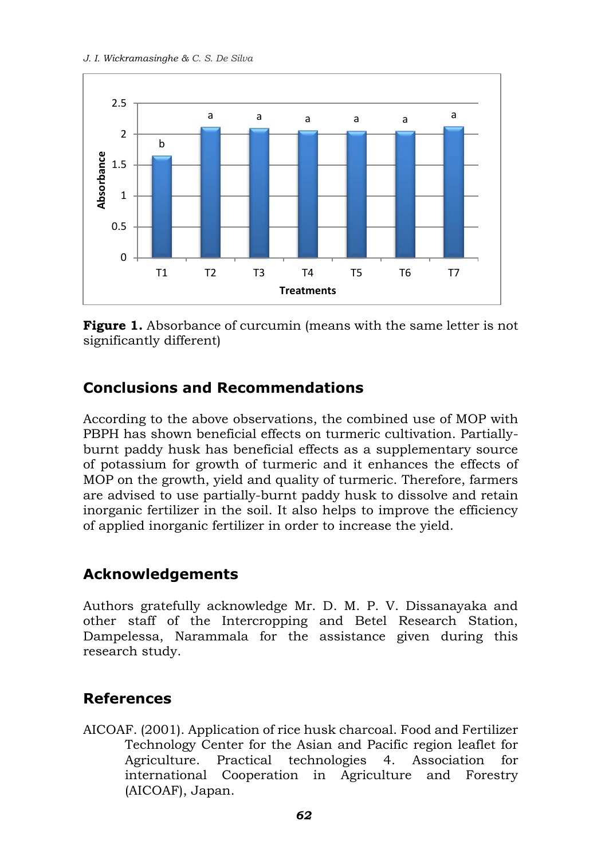#### *J. I. Wickramasinghe & C. S. De Silva*



**Figure 1.** Absorbance of curcumin (means with the same letter is not significantly different)

# **Conclusions and Recommendations**

According to the above observations, the combined use of MOP with PBPH has shown beneficial effects on turmeric cultivation. Partiallyburnt paddy husk has beneficial effects as a supplementary source of potassium for growth of turmeric and it enhances the effects of MOP on the growth, yield and quality of turmeric. Therefore, farmers are advised to use partially-burnt paddy husk to dissolve and retain inorganic fertilizer in the soil. It also helps to improve the efficiency of applied inorganic fertilizer in order to increase the yield.

# **Acknowledgements**

Authors gratefully acknowledge Mr. D. M. P. V. Dissanayaka and other staff of the Intercropping and Betel Research Station, Dampelessa, Narammala for the assistance given during this research study.

## **References**

AICOAF. (2001). Application of rice husk charcoal. Food and Fertilizer Technology Center for the Asian and Pacific region leaflet for Agriculture. Practical technologies 4. Association for international Cooperation in Agriculture and Forestry (AICOAF), Japan.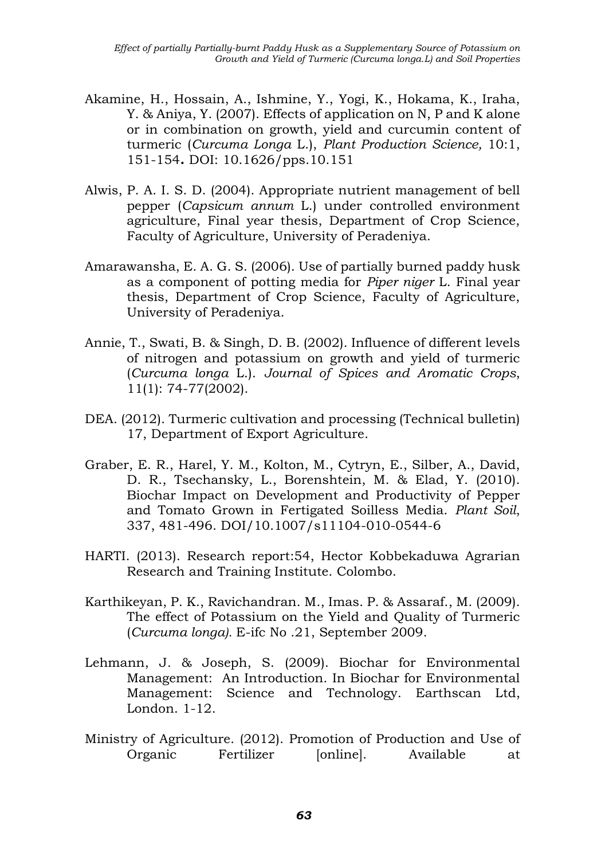- Akamine, H., Hossain, A., Ishmine, Y., Yogi, K., Hokama, K., Iraha, Y. & Aniya, Y. (2007). Effects of application on N, P and K alone or in combination on growth, yield and curcumin content of turmeric (*Curcuma Longa* L.), *Plant Production Science,* 10:1, 151-154**.** DOI: [10.1626/pps.10.151](http://dx.doi.org/10.1626/pps.10.151)
- Alwis, P. A. I. S. D. (2004). Appropriate nutrient management of bell pepper (*Capsicum annum* L.) under controlled environment agriculture, Final year thesis, Department of Crop Science, Faculty of Agriculture, University of Peradeniya.
- Amarawansha, E. A. G. S. (2006). Use of partially burned paddy husk as a component of potting media for *Piper niger* L. Final year thesis, Department of Crop Science, Faculty of Agriculture, University of Peradeniya.
- Annie, T., Swati, B. & Singh, D. B. (2002). Influence of different levels of nitrogen and potassium on growth and yield of turmeric (*Curcuma longa* L.). *Journal of Spices and Aromatic Crops*, 11(1): 74-77(2002).
- DEA. (2012). Turmeric cultivation and processing (Technical bulletin) 17, Department of Export Agriculture.
- Graber, E. R., Harel, Y. M., Kolton, M., Cytryn, E., Silber, A., David, D. R., Tsechansky, L., Borenshtein, M. & Elad, Y. (2010). Biochar Impact on Development and Productivity of Pepper and Tomato Grown in Fertigated Soilless Media. *Plant Soil*, 337, 481-496. DOI/10.1007/s11104-010-0544-6
- HARTI. (2013). Research report:54, Hector Kobbekaduwa Agrarian Research and Training Institute. Colombo.
- Karthikeyan, P. K., Ravichandran. M., Imas. P. & Assaraf., M. (2009). The effect of Potassium on the Yield and Quality of Turmeric (*Curcuma longa).* E-ifc No .21, September 2009.
- Lehmann, J. & Joseph, S. (2009). Biochar for Environmental Management: An Introduction. In Biochar for Environmental Management: Science and Technology. Earthscan Ltd, London. 1-12.
- Ministry of Agriculture. (2012). Promotion of Production and Use of Organic Fertilizer [online]. Available at